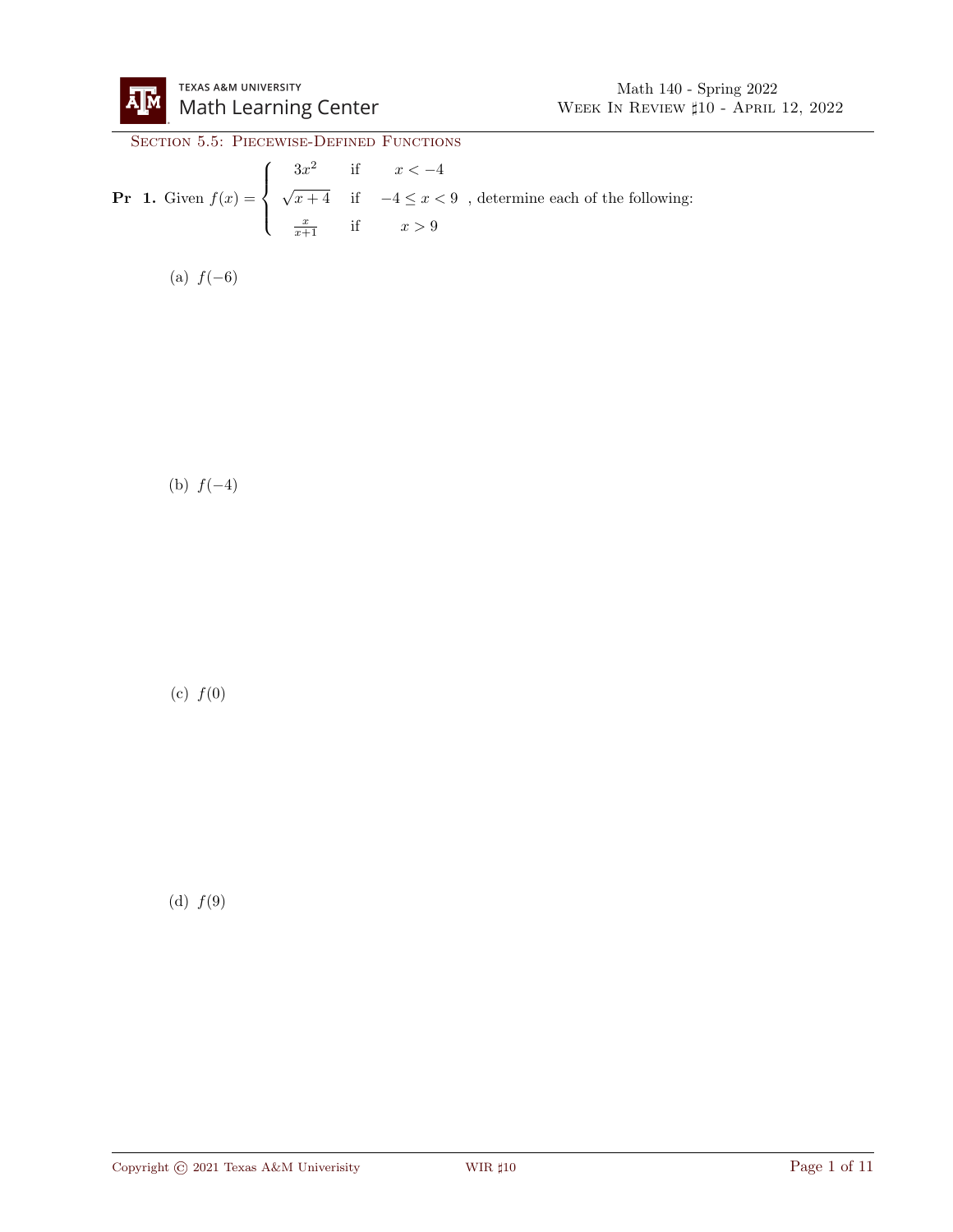

## SECTION 5.5: PIECEWISE-DEFINED FUNCTIONS

**Pr 1.** Given 
$$
f(x) = \begin{cases} 3x^2 & \text{if } x < -4 \\ \sqrt{x+4} & \text{if } -4 \le x < 9 \\ \frac{x}{x+1} & \text{if } x > 9 \end{cases}
$$
, determine each of the following:

(a)  $f(-6)$ 

(b)  $f(-4)$ 

(c)  $f(0)$ 

(d)  $f(9)$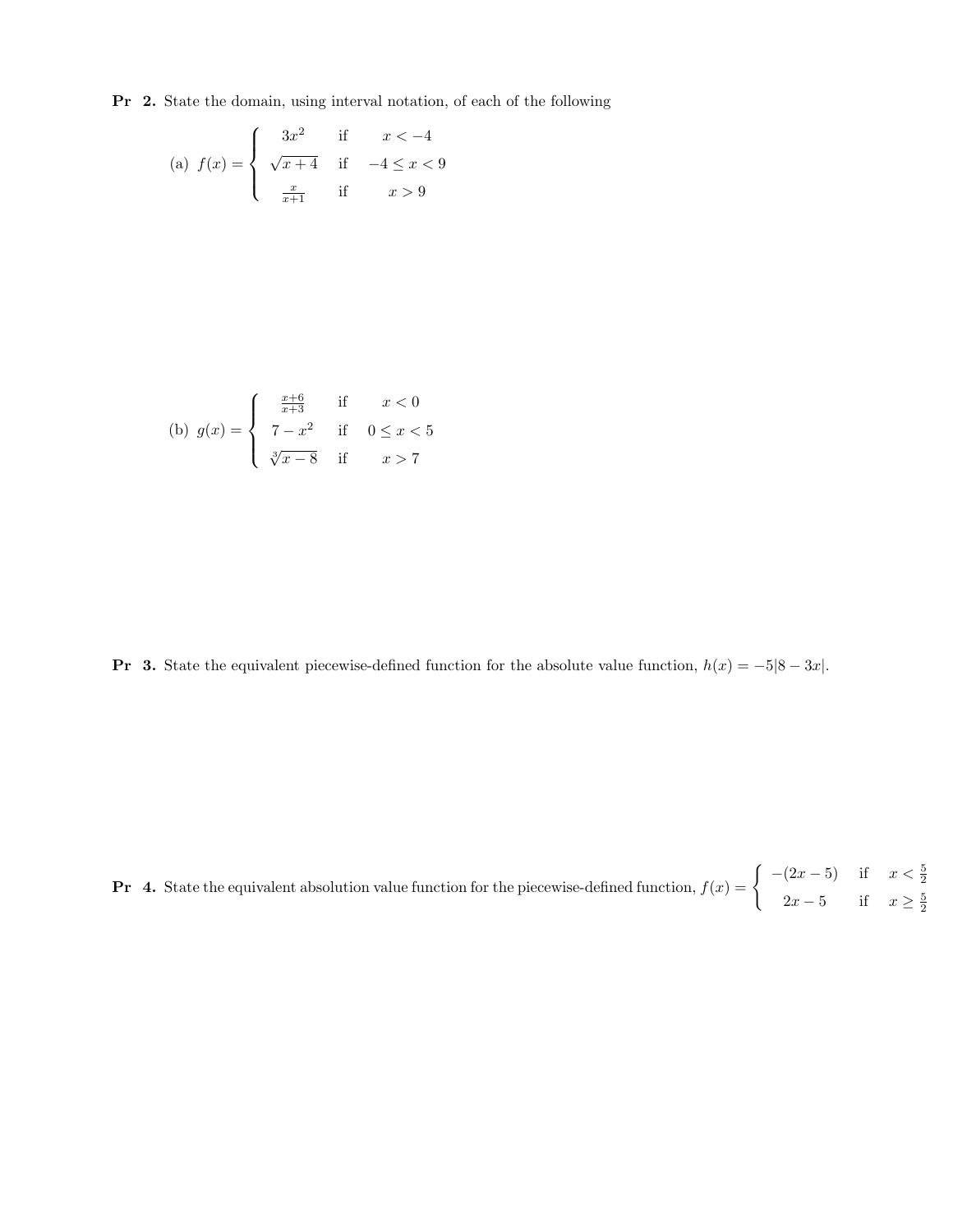Pr 2. State the domain, using interval notation, of each of the following

(a) 
$$
f(x) = \begin{cases} 3x^2 & \text{if } x < -4 \\ \sqrt{x+4} & \text{if } -4 \le x < 9 \\ \frac{x}{x+1} & \text{if } x > 9 \end{cases}
$$

(b) 
$$
g(x) = \begin{cases} \frac{x+6}{x+3} & \text{if } x < 0 \\ 7-x^2 & \text{if } 0 \le x < 5 \\ \sqrt[3]{x-8} & \text{if } x > 7 \end{cases}
$$

**Pr** 3. State the equivalent piecewise-defined function for the absolute value function,  $h(x) = -5|8 - 3x|$ .

**Pr** 4. State the equivalent absolution value function for the piecewise-defined function,  $f(x) = \begin{cases} -(2x-5) & \text{if } x < \frac{5}{2} \end{cases}$  $2x - 5$  if  $x \ge \frac{5}{2}$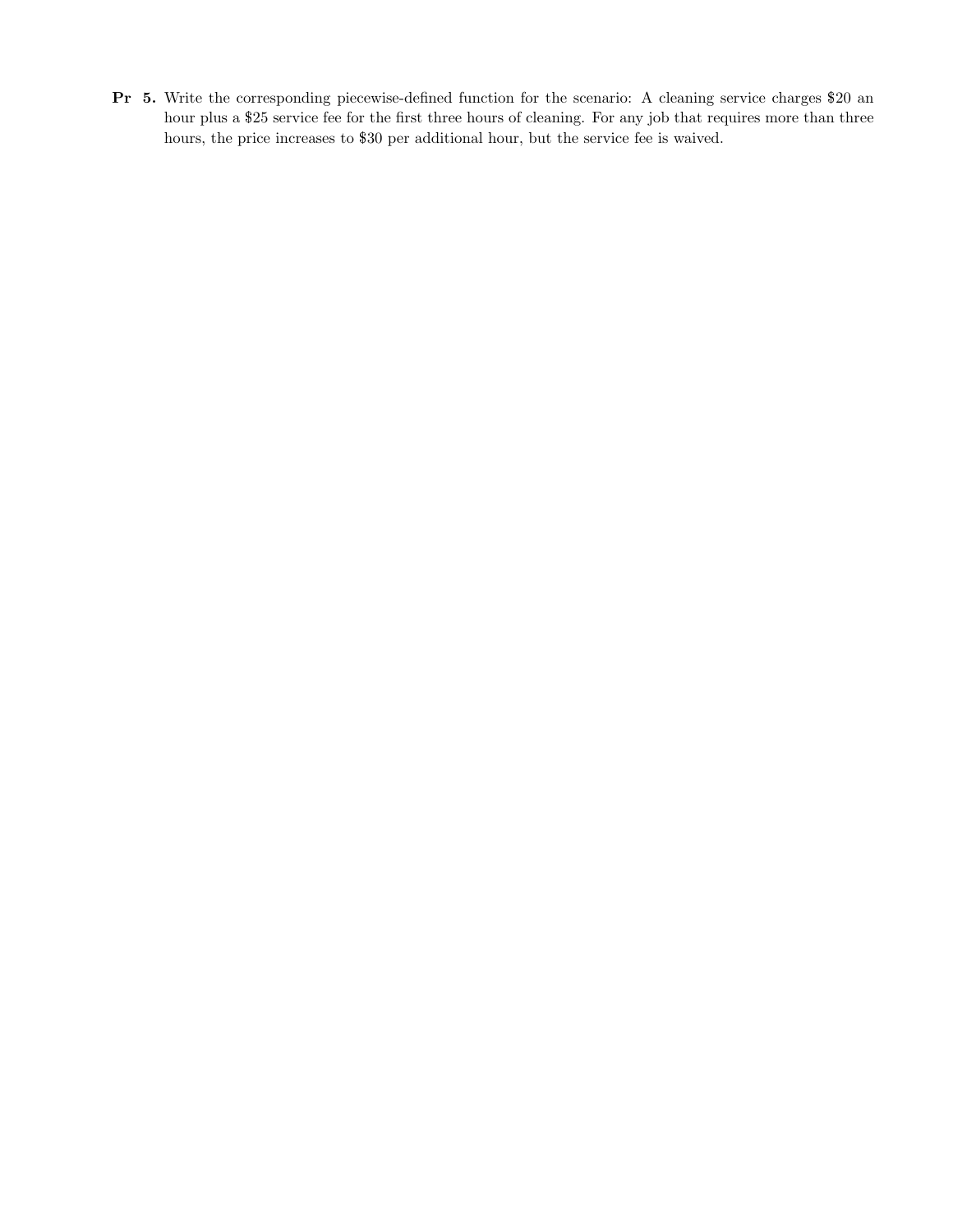Pr 5. Write the corresponding piecewise-defined function for the scenario: A cleaning service charges \$20 an hour plus a \$25 service fee for the first three hours of cleaning. For any job that requires more than three hours, the price increases to \$30 per additional hour, but the service fee is waived.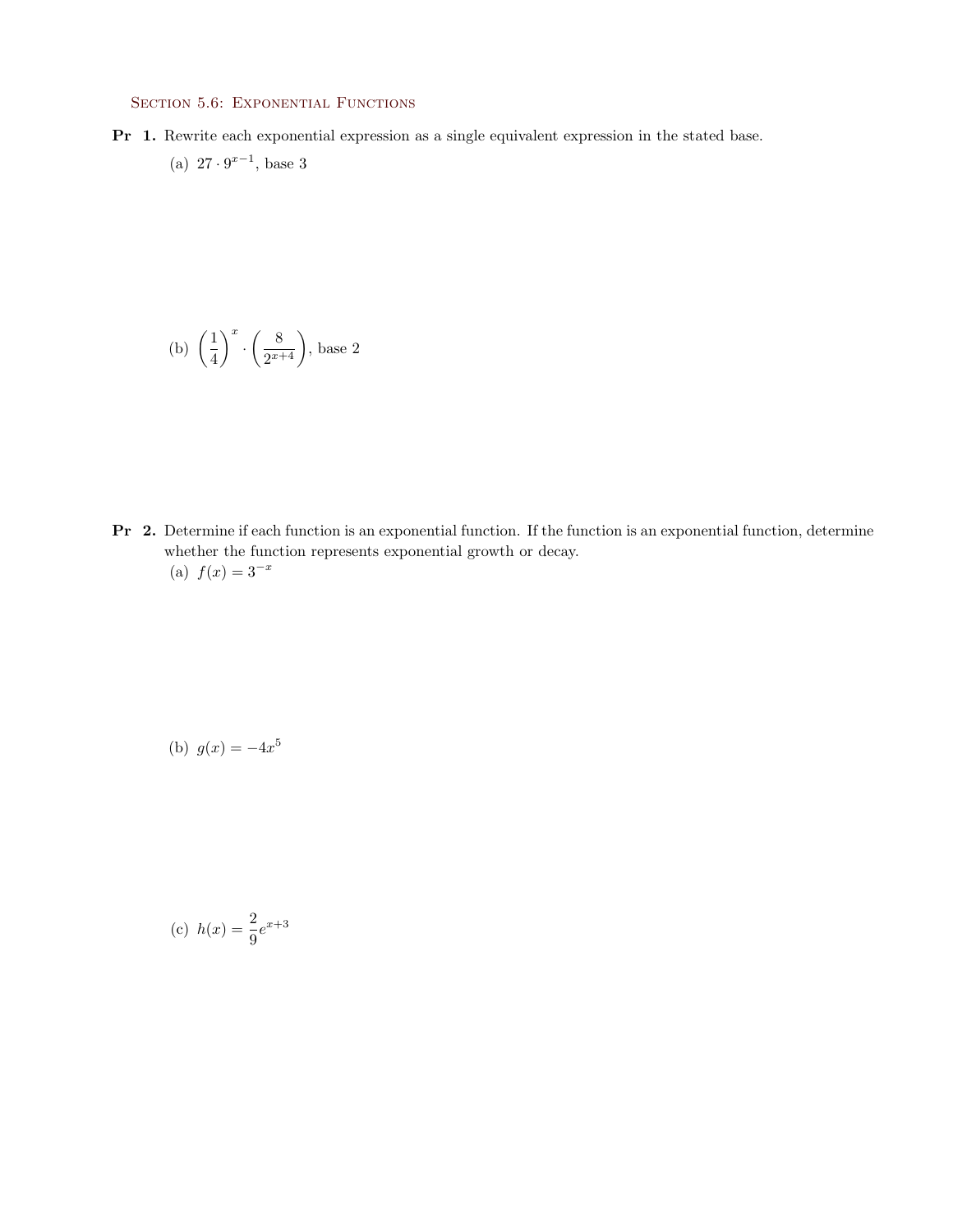## SECTION 5.6: EXPONENTIAL FUNCTIONS

Pr 1. Rewrite each exponential expression as a single equivalent expression in the stated base. (a)  $27 \cdot 9^{x-1}$ , base 3

(b) 
$$
\left(\frac{1}{4}\right)^x \cdot \left(\frac{8}{2^{x+4}}\right)
$$
, base 2

Pr 2. Determine if each function is an exponential function. If the function is an exponential function, determine whether the function represents exponential growth or decay. (a)  $f(x) = 3^{-x}$ 

(b) 
$$
g(x) = -4x^5
$$

(c) 
$$
h(x) = \frac{2}{9}e^{x+3}
$$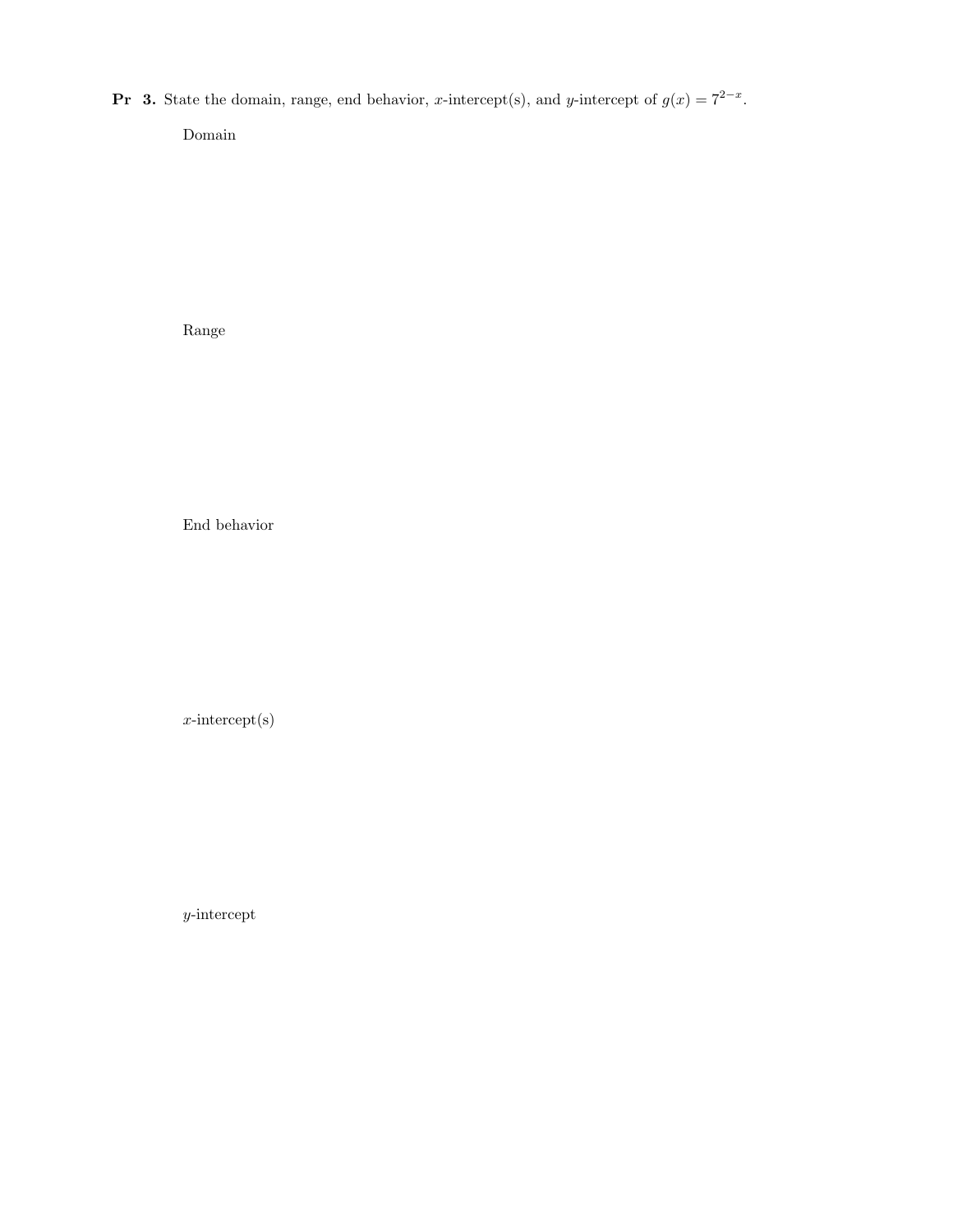**Pr** 3. State the domain, range, end behavior, x-intercept(s), and y-intercept of  $g(x) = 7^{2-x}$ .

Domain

Range

End behavior

x-intercept(s)

y-intercept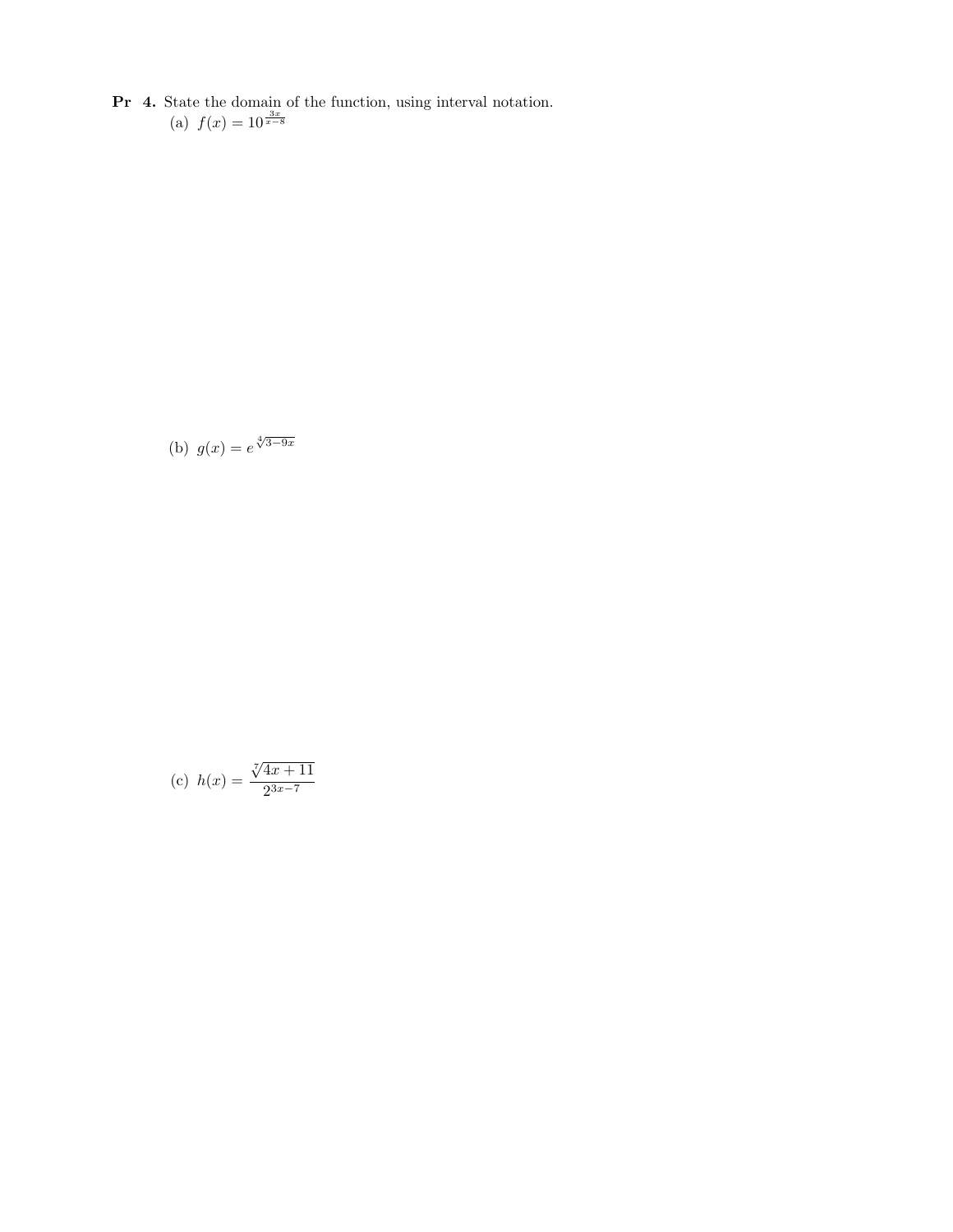Pr 4. State the domain of the function, using interval notation. (a)  $f(x) = 10^{\frac{3x}{x-8}}$ 

(b)  $g(x) = e^{\sqrt[4]{3-9x}}$ 

(c) 
$$
h(x) = \frac{\sqrt[7]{4x+11}}{2^{3x-7}}
$$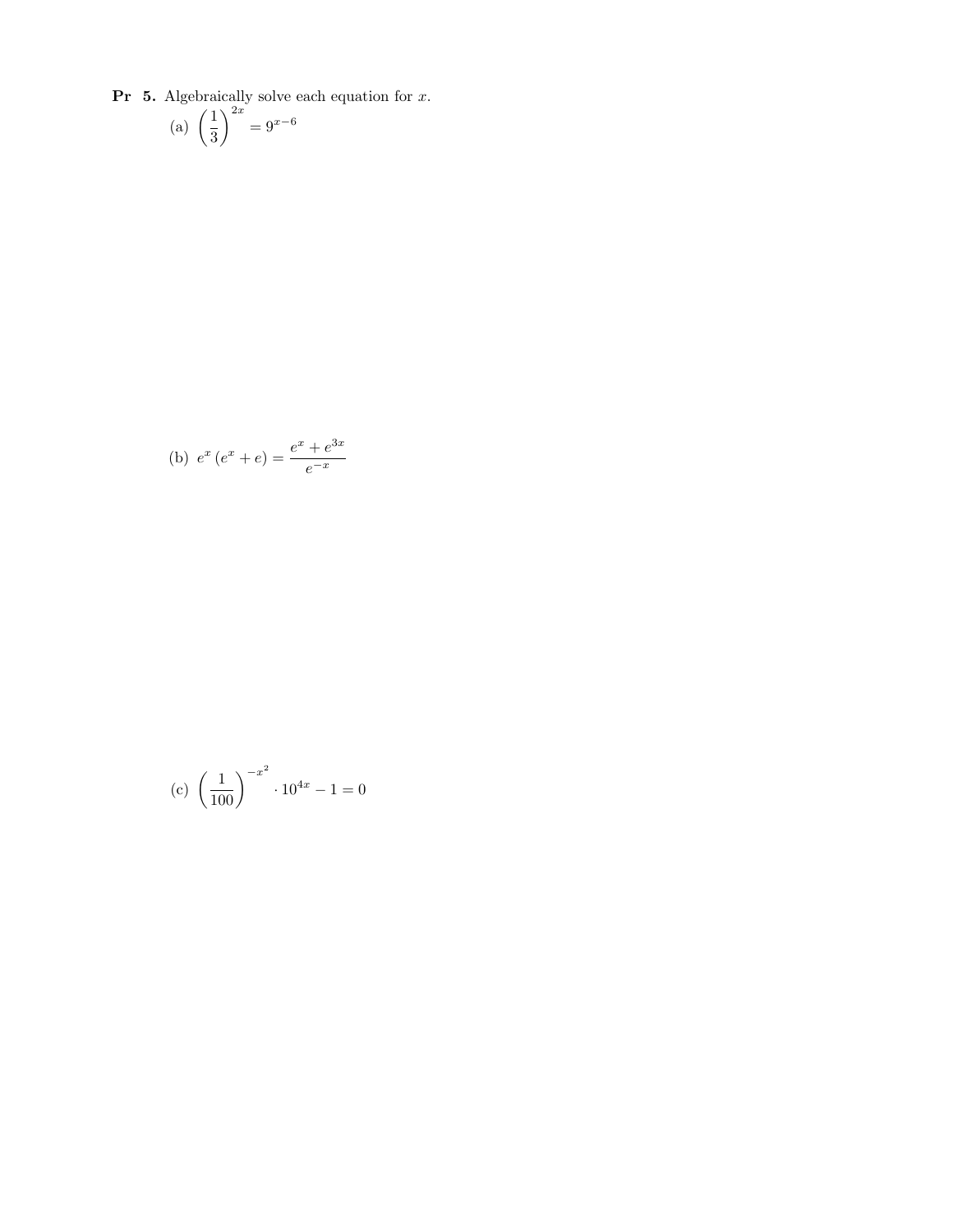**Pr** 5. Algebraically solve each equation for  $x$ .

(a) 
$$
\left(\frac{1}{3}\right)^{2x} = 9^{x-6}
$$

(b) 
$$
e^x (e^x + e) = \frac{e^x + e^{3x}}{e^{-x}}
$$

(c) 
$$
\left(\frac{1}{100}\right)^{-x^2} \cdot 10^{4x} - 1 = 0
$$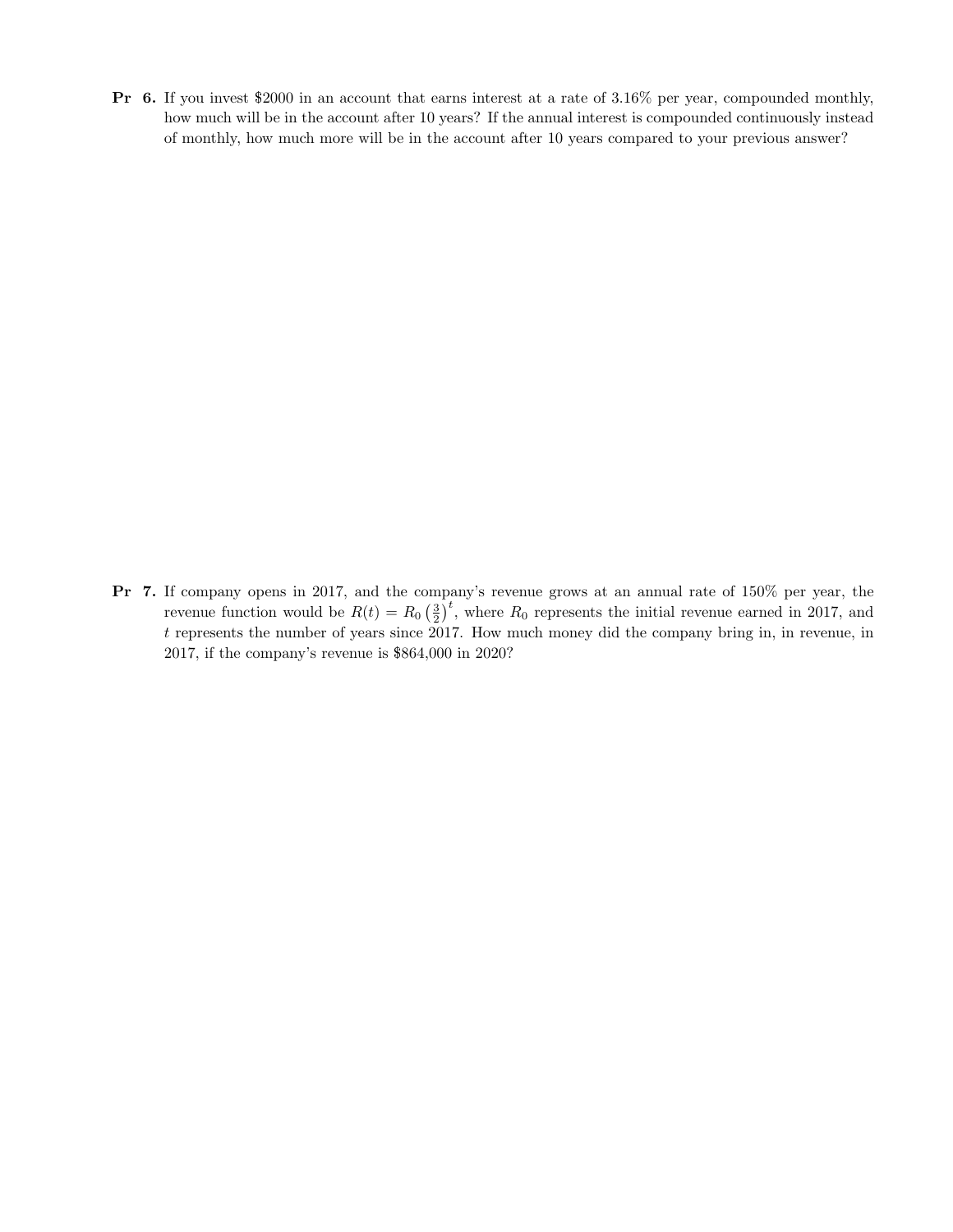Pr 6. If you invest \$2000 in an account that earns interest at a rate of 3.16% per year, compounded monthly, how much will be in the account after 10 years? If the annual interest is compounded continuously instead of monthly, how much more will be in the account after 10 years compared to your previous answer?

Pr 7. If company opens in 2017, and the company's revenue grows at an annual rate of 150% per year, the revenue function would be  $R(t) = R_0 \left(\frac{3}{2}\right)^t$ , where  $R_0$  represents the initial revenue earned in 2017, and t represents the number of years since 2017. How much money did the company bring in, in revenue, in 2017, if the company's revenue is \$864,000 in 2020?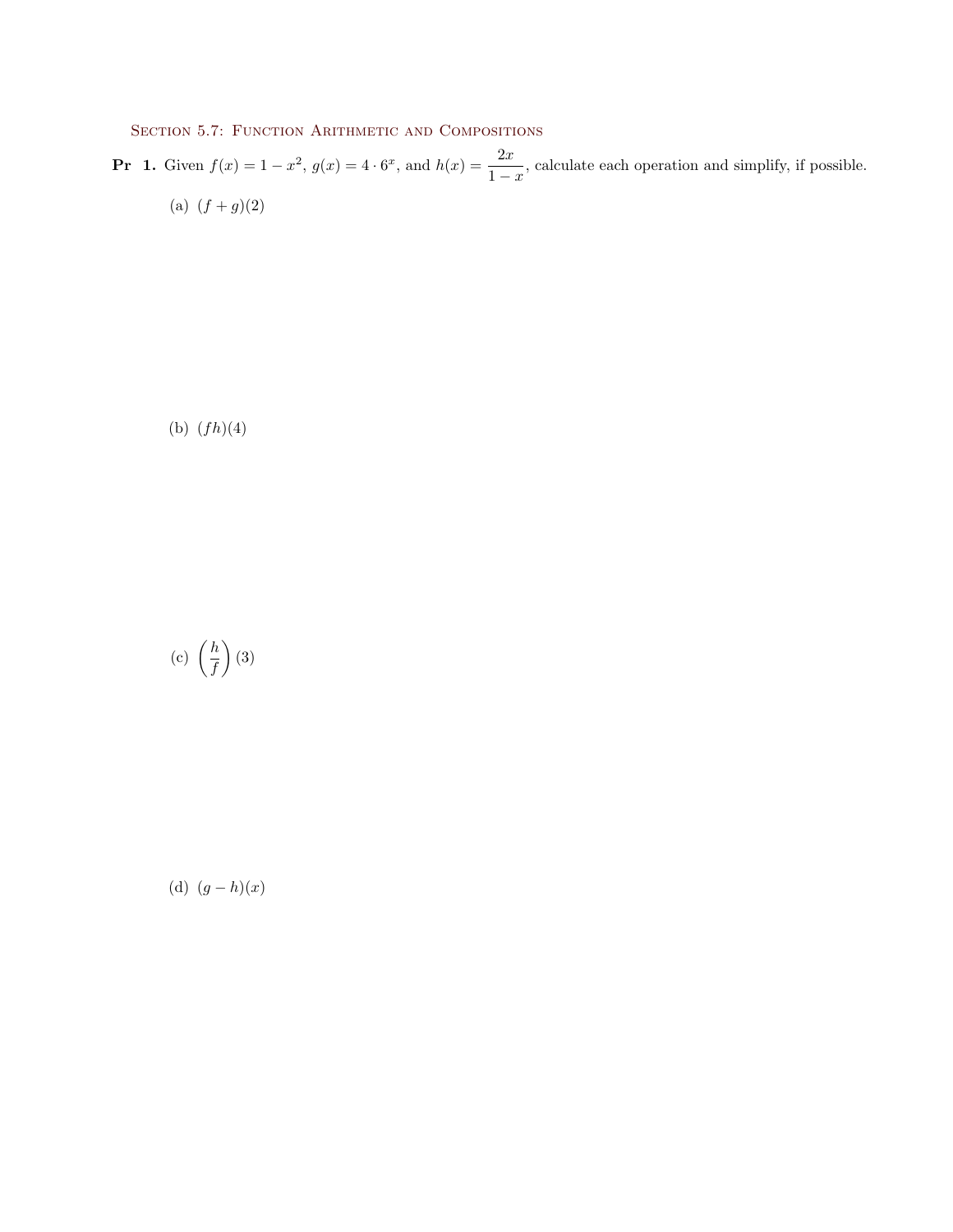SECTION 5.7: FUNCTION ARITHMETIC AND COMPOSITIONS

**Pr** 1. Given  $f(x) = 1 - x^2$ ,  $g(x) = 4 \cdot 6^x$ , and  $h(x) = \frac{2x}{1-x}$ , calculate each operation and simplify, if possible. (a)  $(f+g)(2)$ 

(b)  $(fh)(4)$ 

(c) 
$$
\left(\frac{h}{f}\right)
$$
 (3)

(d) 
$$
(g-h)(x)
$$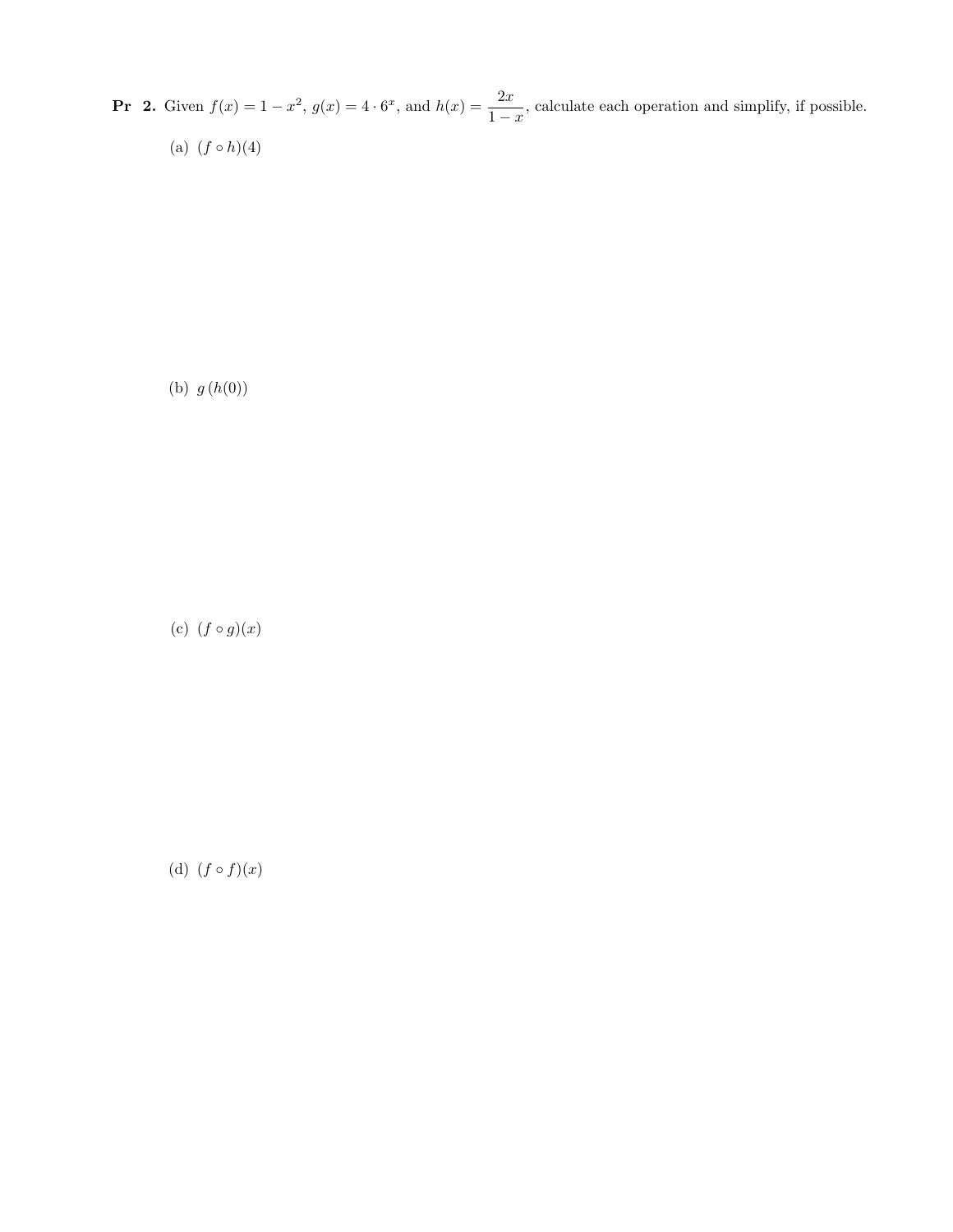**Pr** 2. Given  $f(x) = 1 - x^2$ ,  $g(x) = 4 \cdot 6^x$ , and  $h(x) = \frac{2x}{1-x}$ , calculate each operation and simplify, if possible. (a)  $(f \circ h)(4)$ 

(b)  $g(h(0))$ 

(c)  $(f \circ g)(x)$ 

(d)  $(f \circ f)(x)$